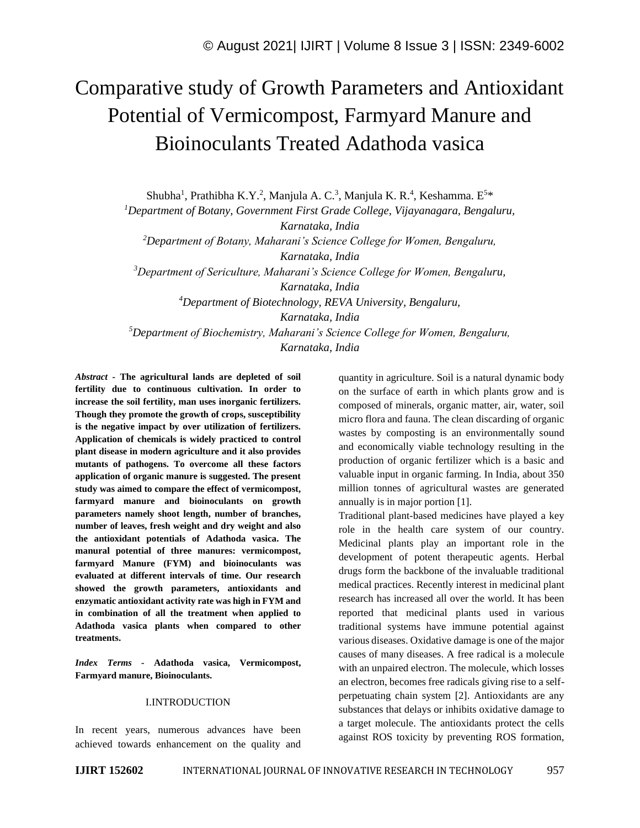# Comparative study of Growth Parameters and Antioxidant Potential of Vermicompost, Farmyard Manure and Bioinoculants Treated Adathoda vasica

Shubha<sup>1</sup>, Prathibha K.Y.<sup>2</sup>, Manjula A. C.<sup>3</sup>, Manjula K. R.<sup>4</sup>, Keshamma. E<sup>5\*</sup>

*<sup>1</sup>Department of Botany, Government First Grade College, Vijayanagara, Bengaluru, Karnataka, India*

*<sup>2</sup>Department of Botany, Maharani's Science College for Women, Bengaluru, Karnataka, India*

*<sup>3</sup>Department of Sericulture, Maharani's Science College for Women, Bengaluru,* 

*Karnataka, India*

*<sup>4</sup>Department of Biotechnology, REVA University, Bengaluru,* 

*Karnataka, India*

*<sup>5</sup>Department of Biochemistry, Maharani's Science College for Women, Bengaluru, Karnataka, India*

*Abstract -* **The agricultural lands are depleted of soil fertility due to continuous cultivation. In order to increase the soil fertility, man uses inorganic fertilizers. Though they promote the growth of crops, susceptibility is the negative impact by over utilization of fertilizers. Application of chemicals is widely practiced to control plant disease in modern agriculture and it also provides mutants of pathogens. To overcome all these factors application of organic manure is suggested. The present study was aimed to compare the effect of vermicompost, farmyard manure and bioinoculants on growth parameters namely shoot length, number of branches, number of leaves, fresh weight and dry weight and also the antioxidant potentials of Adathoda vasica. The manural potential of three manures: vermicompost, farmyard Manure (FYM) and bioinoculants was evaluated at different intervals of time. Our research showed the growth parameters, antioxidants and enzymatic antioxidant activity rate was high in FYM and in combination of all the treatment when applied to Adathoda vasica plants when compared to other treatments.**

*Index Terms -* **Adathoda vasica, Vermicompost, Farmyard manure, Bioinoculants.**

### I.INTRODUCTION

In recent years, numerous advances have been achieved towards enhancement on the quality and quantity in agriculture. Soil is a natural dynamic body on the surface of earth in which plants grow and is composed of minerals, organic matter, air, water, soil micro flora and fauna. The clean discarding of organic wastes by composting is an environmentally sound and economically viable technology resulting in the production of organic fertilizer which is a basic and valuable input in organic farming. In India, about 350 million tonnes of agricultural wastes are generated annually is in major portion [1].

Traditional plant-based medicines have played a key role in the health care system of our country. Medicinal plants play an important role in the development of potent therapeutic agents. Herbal drugs form the backbone of the invaluable traditional medical practices. Recently interest in medicinal plant research has increased all over the world. It has been reported that medicinal plants used in various traditional systems have immune potential against various diseases. Oxidative damage is one of the major causes of many diseases. A free radical is a molecule with an unpaired electron. The molecule, which losses an electron, becomes free radicals giving rise to a selfperpetuating chain system [2]. Antioxidants are any substances that delays or inhibits oxidative damage to a target molecule. The antioxidants protect the cells against ROS toxicity by preventing ROS formation,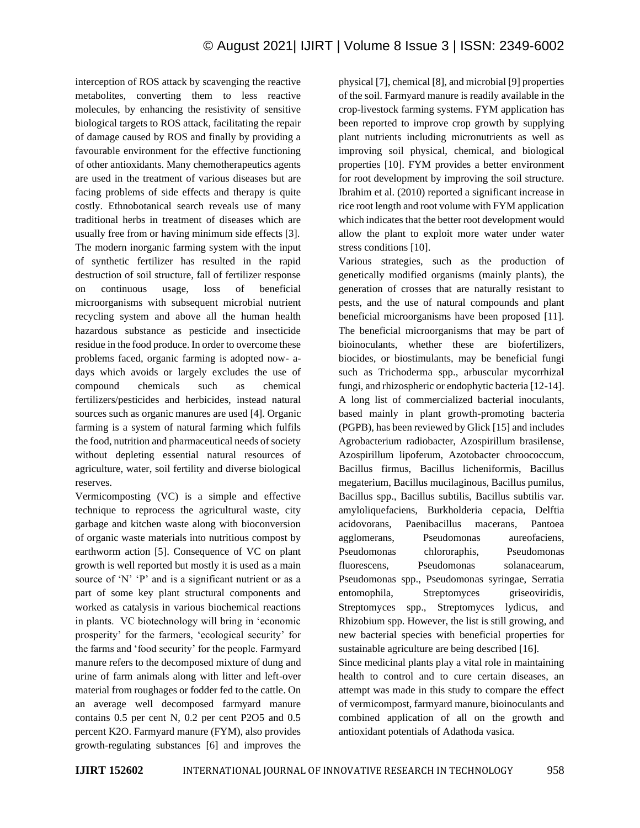interception of ROS attack by scavenging the reactive metabolites, converting them to less reactive molecules, by enhancing the resistivity of sensitive biological targets to ROS attack, facilitating the repair of damage caused by ROS and finally by providing a favourable environment for the effective functioning of other antioxidants. Many chemotherapeutics agents are used in the treatment of various diseases but are facing problems of side effects and therapy is quite costly. Ethnobotanical search reveals use of many traditional herbs in treatment of diseases which are usually free from or having minimum side effects [3]. The modern inorganic farming system with the input of synthetic fertilizer has resulted in the rapid destruction of soil structure, fall of fertilizer response on continuous usage, loss of beneficial microorganisms with subsequent microbial nutrient recycling system and above all the human health hazardous substance as pesticide and insecticide residue in the food produce. In order to overcome these problems faced, organic farming is adopted now- adays which avoids or largely excludes the use of compound chemicals such as chemical fertilizers/pesticides and herbicides, instead natural sources such as organic manures are used [4]. Organic farming is a system of natural farming which fulfils the food, nutrition and pharmaceutical needs of society without depleting essential natural resources of agriculture, water, soil fertility and diverse biological reserves.

Vermicomposting (VC) is a simple and effective technique to reprocess the agricultural waste, city garbage and kitchen waste along with bioconversion of organic waste materials into nutritious compost by earthworm action [5]. Consequence of VC on plant growth is well reported but mostly it is used as a main source of 'N' 'P' and is a significant nutrient or as a part of some key plant structural components and worked as catalysis in various biochemical reactions in plants. VC biotechnology will bring in 'economic prosperity' for the farmers, 'ecological security' for the farms and 'food security' for the people. Farmyard manure refers to the decomposed mixture of dung and urine of farm animals along with litter and left-over material from roughages or fodder fed to the cattle. On an average well decomposed farmyard manure contains 0.5 per cent N, 0.2 per cent P2O5 and 0.5 percent K2O. Farmyard manure (FYM), also provides growth-regulating substances [6] and improves the physical [7], chemical [8], and microbial [9] properties of the soil. Farmyard manure is readily available in the crop-livestock farming systems. FYM application has been reported to improve crop growth by supplying plant nutrients including micronutrients as well as improving soil physical, chemical, and biological properties [10]. FYM provides a better environment for root development by improving the soil structure. Ibrahim et al. (2010) reported a significant increase in rice root length and root volume with FYM application which indicates that the better root development would allow the plant to exploit more water under water stress conditions [10].

Various strategies, such as the production of genetically modified organisms (mainly plants), the generation of crosses that are naturally resistant to pests, and the use of natural compounds and plant beneficial microorganisms have been proposed [11]. The beneficial microorganisms that may be part of bioinoculants, whether these are biofertilizers, biocides, or biostimulants, may be beneficial fungi such as Trichoderma spp., arbuscular mycorrhizal fungi, and rhizospheric or endophytic bacteria [12-14]. A long list of commercialized bacterial inoculants, based mainly in plant growth-promoting bacteria (PGPB), has been reviewed by Glick [15] and includes Agrobacterium radiobacter, Azospirillum brasilense, Azospirillum lipoferum, Azotobacter chroococcum, Bacillus firmus, Bacillus licheniformis, Bacillus megaterium, Bacillus mucilaginous, Bacillus pumilus, Bacillus spp., Bacillus subtilis, Bacillus subtilis var. amyloliquefaciens, Burkholderia cepacia, Delftia acidovorans, Paenibacillus macerans, Pantoea agglomerans, Pseudomonas aureofaciens, Pseudomonas chlororaphis, Pseudomonas fluorescens, Pseudomonas solanacearum, Pseudomonas spp., Pseudomonas syringae, Serratia entomophila, Streptomyces griseoviridis, Streptomyces spp., Streptomyces lydicus, and Rhizobium spp. However, the list is still growing, and new bacterial species with beneficial properties for sustainable agriculture are being described [16]. Since medicinal plants play a vital role in maintaining health to control and to cure certain diseases, an attempt was made in this study to compare the effect of vermicompost, farmyard manure, bioinoculants and combined application of all on the growth and antioxidant potentials of Adathoda vasica.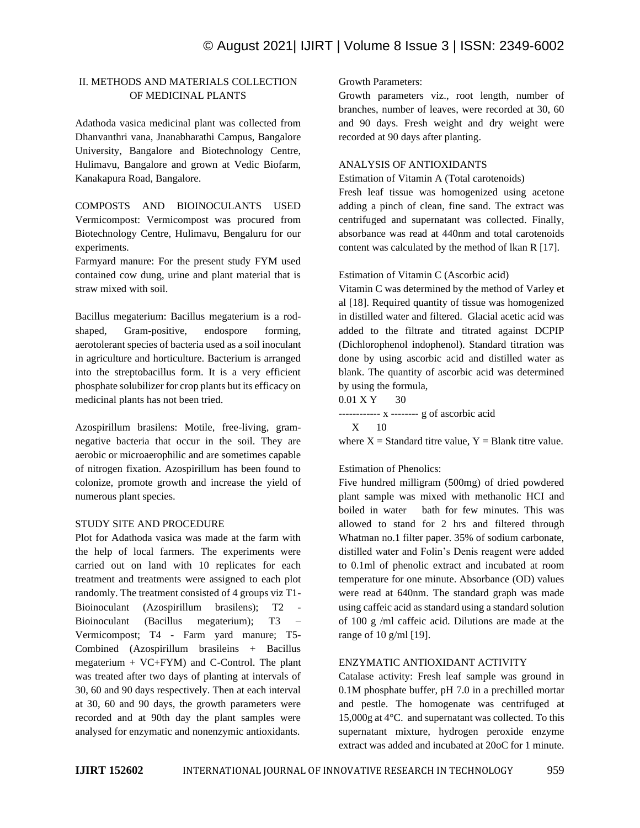# © August 2021| IJIRT | Volume 8 Issue 3 | ISSN: 2349-6002

## II. METHODS AND MATERIALS COLLECTION OF MEDICINAL PLANTS

Adathoda vasica medicinal plant was collected from Dhanvanthri vana, Jnanabharathi Campus, Bangalore University, Bangalore and Biotechnology Centre, Hulimavu, Bangalore and grown at Vedic Biofarm, Kanakapura Road, Bangalore.

COMPOSTS AND BIOINOCULANTS USED Vermicompost: Vermicompost was procured from Biotechnology Centre, Hulimavu, Bengaluru for our experiments.

Farmyard manure: For the present study FYM used contained cow dung, urine and plant material that is straw mixed with soil.

Bacillus megaterium: Bacillus megaterium is a rodshaped, Gram-positive, endospore forming, aerotolerant species of bacteria used as a soil inoculant in agriculture and horticulture. Bacterium is arranged into the streptobacillus form. It is a very efficient phosphate solubilizer for crop plants but its efficacy on medicinal plants has not been tried.

Azospirillum brasilens: Motile, free-living, gramnegative bacteria that occur in the soil. They are aerobic or microaerophilic and are sometimes capable of nitrogen fixation. Azospirillum has been found to colonize, promote growth and increase the yield of numerous plant species.

#### STUDY SITE AND PROCEDURE

Plot for Adathoda vasica was made at the farm with the help of local farmers. The experiments were carried out on land with 10 replicates for each treatment and treatments were assigned to each plot randomly. The treatment consisted of 4 groups viz T1- Bioinoculant (Azospirillum brasilens); T2 Bioinoculant (Bacillus megaterium); T3 – Vermicompost; T4 - Farm yard manure; T5- Combined (Azospirillum brasileins + Bacillus megaterium + VC+FYM) and C-Control. The plant was treated after two days of planting at intervals of 30, 60 and 90 days respectively. Then at each interval at 30, 60 and 90 days, the growth parameters were recorded and at 90th day the plant samples were analysed for enzymatic and nonenzymic antioxidants.

Growth Parameters:

Growth parameters viz., root length, number of branches, number of leaves, were recorded at 30, 60 and 90 days. Fresh weight and dry weight were recorded at 90 days after planting.

#### ANALYSIS OF ANTIOXIDANTS

Estimation of Vitamin A (Total carotenoids)

Fresh leaf tissue was homogenized using acetone adding a pinch of clean, fine sand. The extract was centrifuged and supernatant was collected. Finally, absorbance was read at 440nm and total carotenoids content was calculated by the method of lkan R [17].

#### Estimation of Vitamin C (Ascorbic acid)

Vitamin C was determined by the method of Varley et al [18]. Required quantity of tissue was homogenized in distilled water and filtered. Glacial acetic acid was added to the filtrate and titrated against DCPIP (Dichlorophenol indophenol). Standard titration was done by using ascorbic acid and distilled water as blank. The quantity of ascorbic acid was determined by using the formula,

0.01 X Y 30 ------------ x -------- g of ascorbic acid X 10

where  $X =$  Standard titre value,  $Y =$  Blank titre value.

#### Estimation of Phenolics:

Five hundred milligram (500mg) of dried powdered plant sample was mixed with methanolic HCI and boiled in water bath for few minutes. This was allowed to stand for 2 hrs and filtered through Whatman no.1 filter paper. 35% of sodium carbonate, distilled water and Folin's Denis reagent were added to 0.1ml of phenolic extract and incubated at room temperature for one minute. Absorbance (OD) values were read at 640nm. The standard graph was made using caffeic acid as standard using a standard solution of 100 g /ml caffeic acid. Dilutions are made at the range of 10 g/ml [19].

#### ENZYMATIC ANTIOXIDANT ACTIVITY

Catalase activity: Fresh leaf sample was ground in 0.1M phosphate buffer, pH 7.0 in a prechilled mortar and pestle. The homogenate was centrifuged at 15,000g at 4°C. and supernatant was collected. To this supernatant mixture, hydrogen peroxide enzyme extract was added and incubated at 20oC for 1 minute.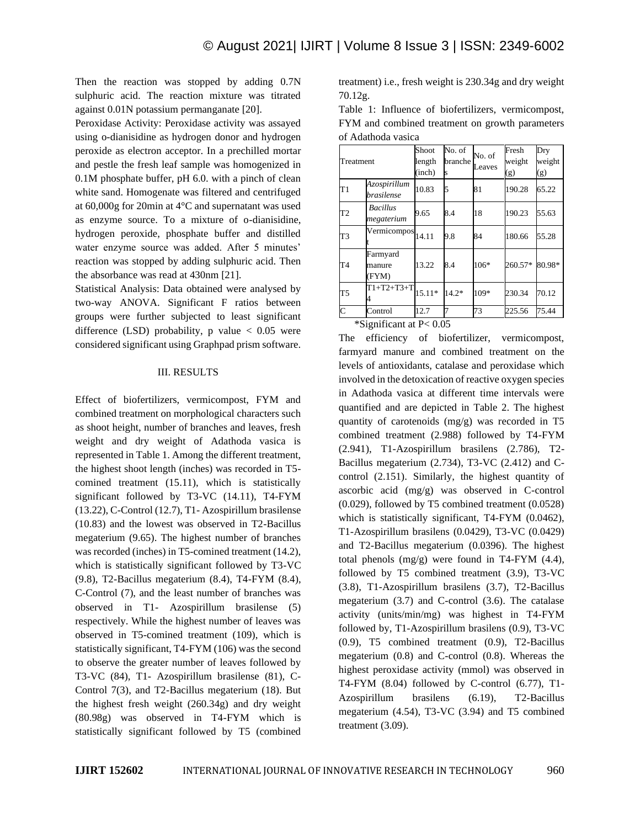Then the reaction was stopped by adding 0.7N sulphuric acid. The reaction mixture was titrated against 0.01N potassium permanganate [20].

Peroxidase Activity: Peroxidase activity was assayed using o-dianisidine as hydrogen donor and hydrogen peroxide as electron acceptor. In a prechilled mortar and pestle the fresh leaf sample was homogenized in 0.1M phosphate buffer, pH 6.0. with a pinch of clean white sand. Homogenate was filtered and centrifuged at 60,000g for 20min at 4°C and supernatant was used as enzyme source. To a mixture of o-dianisidine, hydrogen peroxide, phosphate buffer and distilled water enzyme source was added. After 5 minutes' reaction was stopped by adding sulphuric acid. Then the absorbance was read at 430nm [21].

Statistical Analysis: Data obtained were analysed by two-way ANOVA. Significant F ratios between groups were further subjected to least significant difference (LSD) probability, p value  $< 0.05$  were considered significant using Graphpad prism software.

#### III. RESULTS

Effect of biofertilizers, vermicompost, FYM and combined treatment on morphological characters such as shoot height, number of branches and leaves, fresh weight and dry weight of Adathoda vasica is represented in Table 1. Among the different treatment, the highest shoot length (inches) was recorded in T5 comined treatment (15.11), which is statistically significant followed by T3-VC (14.11), T4-FYM (13.22), C-Control (12.7), T1- Azospirillum brasilense (10.83) and the lowest was observed in T2-Bacillus megaterium (9.65). The highest number of branches was recorded (inches) in T5-comined treatment (14.2), which is statistically significant followed by T3-VC (9.8), T2-Bacillus megaterium (8.4), T4-FYM (8.4), C-Control (7), and the least number of branches was observed in T1- Azospirillum brasilense (5) respectively. While the highest number of leaves was observed in T5-comined treatment (109), which is statistically significant, T4-FYM (106) was the second to observe the greater number of leaves followed by T3-VC (84), T1- Azospirillum brasilense (81), C-Control 7(3), and T2-Bacillus megaterium (18). But the highest fresh weight (260.34g) and dry weight (80.98g) was observed in T4-FYM which is statistically significant followed by T5 (combined treatment) i.e., fresh weight is 230.34g and dry weight 70.12g.

Table 1: Influence of biofertilizers, vermicompost, FYM and combined treatment on growth parameters of Adathoda vasica

| Treatment      |                               | Shoot    | No. of  | No. of<br>Leaves | Fresh   | Dry    |
|----------------|-------------------------------|----------|---------|------------------|---------|--------|
|                |                               | length   | branche |                  | weight  | weight |
|                |                               | (inch)   | S       |                  | (g)     | (g)    |
| T1             | Azospirillum<br>brasilense    | 10.83    | 5       | 81               | 190.28  | 65.22  |
| T <sub>2</sub> | <b>Bacillus</b><br>megaterium | 9.65     | 8.4     | 18               | 190.23  | 55.63  |
| T3             | Vermicompos                   | 14.11    | 9.8     | 84               | 180.66  | 55.28  |
| T <sub>4</sub> | Farmyard<br>manure<br>(FYM)   | 13.22    | 8.4     | 106*             | 260.57* | 80.98* |
| T5             | T1+T2+T3+Tl                   | $15.11*$ | $14.2*$ | 109*             | 230.34  | 70.12  |
| $\mathsf{C}$   | Control                       | 12.7     |         | 73               | 225.56  | 75.44  |

\*Significant at P< 0.05

The efficiency of biofertilizer, vermicompost, farmyard manure and combined treatment on the levels of antioxidants, catalase and peroxidase which involved in the detoxication of reactive oxygen species in Adathoda vasica at different time intervals were quantified and are depicted in Table 2. The highest quantity of carotenoids (mg/g) was recorded in T5 combined treatment (2.988) followed by T4-FYM (2.941), T1-Azospirillum brasilens (2.786), T2- Bacillus megaterium (2.734), T3-VC (2.412) and Ccontrol (2.151). Similarly, the highest quantity of ascorbic acid (mg/g) was observed in C-control (0.029), followed by T5 combined treatment (0.0528) which is statistically significant, T4-FYM (0.0462), T1-Azospirillum brasilens (0.0429), T3-VC (0.0429) and T2-Bacillus megaterium (0.0396). The highest total phenols (mg/g) were found in T4-FYM (4.4), followed by T5 combined treatment (3.9), T3-VC (3.8), T1-Azospirillum brasilens (3.7), T2-Bacillus megaterium (3.7) and C-control (3.6). The catalase activity (units/min/mg) was highest in T4-FYM followed by, T1-Azospirillum brasilens (0.9), T3-VC (0.9), T5 combined treatment (0.9), T2-Bacillus megaterium (0.8) and C-control (0.8). Whereas the highest peroxidase activity (mmol) was observed in T4-FYM (8.04) followed by C-control (6.77), T1- Azospirillum brasilens (6.19), T2-Bacillus megaterium (4.54), T3-VC (3.94) and T5 combined treatment (3.09).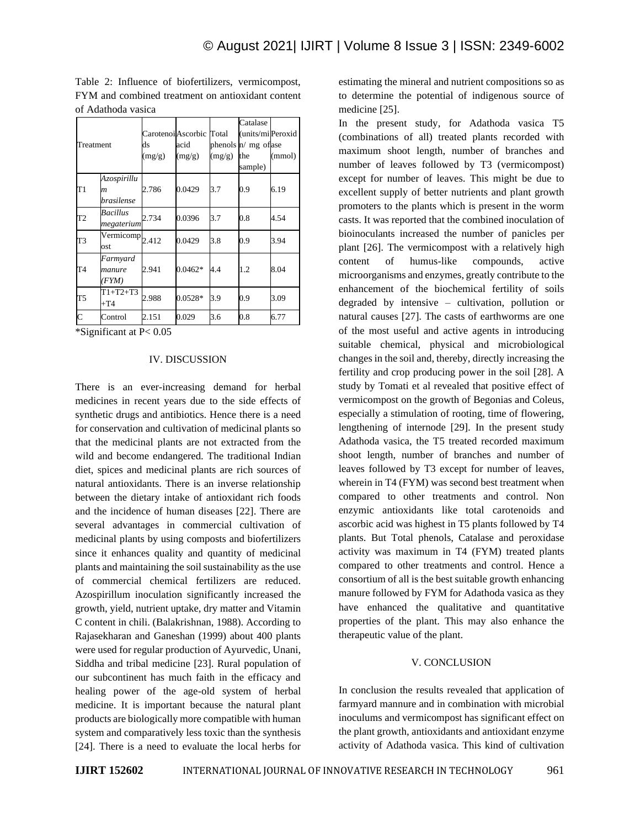| Treatment    |                                               | ds<br>(mg/g) | Carotenoi Ascorbic Total<br>acid<br>(mg/g) | (mg/g) | Catalase<br>(units/mi Peroxid<br>phenols $n/mg$ of ase<br>the<br>sample) | (mmol) |
|--------------|-----------------------------------------------|--------------|--------------------------------------------|--------|--------------------------------------------------------------------------|--------|
| T1           | Azospirillu<br>$\boldsymbol{m}$<br>brasilense | 2.786        | 0.0429                                     | 3.7    | 0.9                                                                      | 6.19   |
| T2           | Bacillus<br>megaterium                        | 2.734        | 0.0396                                     | 3.7    | 0.8                                                                      | 4.54   |
| T3           | $\overline{\text{Vermicomp}}_{2.412}$<br>ost  |              | 0.0429                                     | 3.8    | 0.9                                                                      | 3.94   |
| T4           | Farmyard<br>manure<br>(FYM)                   | 2.941        | $0.0462*$                                  | 4.4    | 1.2                                                                      | 8.04   |
| T5           | $T1+T2+T3$<br>$+T4$                           | 2.988        | $0.0528*$                                  | 3.9    | 0.9                                                                      | 3.09   |
| $\mathsf{C}$ | Control                                       | 2.151        | 0.029                                      | 3.6    | 0.8                                                                      | 6.77   |

Table 2: Influence of biofertilizers, vermicompost, FYM and combined treatment on antioxidant content of Adathoda vasica

\*Significant at P< 0.05

#### IV. DISCUSSION

There is an ever-increasing demand for herbal medicines in recent years due to the side effects of synthetic drugs and antibiotics. Hence there is a need for conservation and cultivation of medicinal plants so that the medicinal plants are not extracted from the wild and become endangered. The traditional Indian diet, spices and medicinal plants are rich sources of natural antioxidants. There is an inverse relationship between the dietary intake of antioxidant rich foods and the incidence of human diseases [22]. There are several advantages in commercial cultivation of medicinal plants by using composts and biofertilizers since it enhances quality and quantity of medicinal plants and maintaining the soil sustainability as the use of commercial chemical fertilizers are reduced. Azospirillum inoculation significantly increased the growth, yield, nutrient uptake, dry matter and Vitamin C content in chili. (Balakrishnan, 1988). According to Rajasekharan and Ganeshan (1999) about 400 plants were used for regular production of Ayurvedic, Unani, Siddha and tribal medicine [23]. Rural population of our subcontinent has much faith in the efficacy and healing power of the age-old system of herbal medicine. It is important because the natural plant products are biologically more compatible with human system and comparatively less toxic than the synthesis [24]. There is a need to evaluate the local herbs for

estimating the mineral and nutrient compositions so as to determine the potential of indigenous source of medicine [25].

In the present study, for Adathoda vasica T5 (combinations of all) treated plants recorded with maximum shoot length, number of branches and number of leaves followed by T3 (vermicompost) except for number of leaves. This might be due to excellent supply of better nutrients and plant growth promoters to the plants which is present in the worm casts. It was reported that the combined inoculation of bioinoculants increased the number of panicles per plant [26]. The vermicompost with a relatively high content of humus-like compounds, active microorganisms and enzymes, greatly contribute to the enhancement of the biochemical fertility of soils degraded by intensive – cultivation, pollution or natural causes [27]. The casts of earthworms are one of the most useful and active agents in introducing suitable chemical, physical and microbiological changes in the soil and, thereby, directly increasing the fertility and crop producing power in the soil [28]. A study by Tomati et al revealed that positive effect of vermicompost on the growth of Begonias and Coleus, especially a stimulation of rooting, time of flowering, lengthening of internode [29]. In the present study Adathoda vasica, the T5 treated recorded maximum shoot length, number of branches and number of leaves followed by T3 except for number of leaves, wherein in T4 (FYM) was second best treatment when compared to other treatments and control. Non enzymic antioxidants like total carotenoids and ascorbic acid was highest in T5 plants followed by T4 plants. But Total phenols, Catalase and peroxidase activity was maximum in T4 (FYM) treated plants compared to other treatments and control. Hence a consortium of all is the best suitable growth enhancing manure followed by FYM for Adathoda vasica as they have enhanced the qualitative and quantitative properties of the plant. This may also enhance the therapeutic value of the plant.

#### V. CONCLUSION

In conclusion the results revealed that application of farmyard mannure and in combination with microbial inoculums and vermicompost has significant effect on the plant growth, antioxidants and antioxidant enzyme activity of Adathoda vasica. This kind of cultivation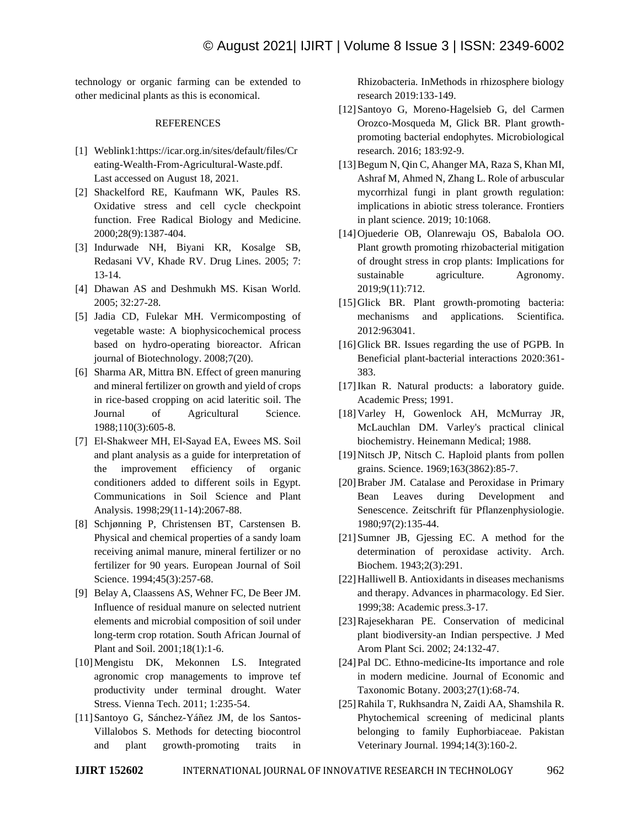technology or organic farming can be extended to other medicinal plants as this is economical.

#### **REFERENCES**

- [1] Weblink1:https://icar.org.in/sites/default/files/Cr eating-Wealth-From-Agricultural-Waste.pdf. Last accessed on August 18, 2021.
- [2] Shackelford RE, Kaufmann WK, Paules RS. Oxidative stress and cell cycle checkpoint function. Free Radical Biology and Medicine. 2000;28(9):1387-404.
- [3] Indurwade NH, Biyani KR, Kosalge SB, Redasani VV, Khade RV. Drug Lines. 2005; 7: 13-14.
- [4] Dhawan AS and Deshmukh MS. Kisan World. 2005; 32:27-28.
- [5] Jadia CD, Fulekar MH. Vermicomposting of vegetable waste: A biophysicochemical process based on hydro-operating bioreactor. African journal of Biotechnology. 2008;7(20).
- [6] Sharma AR, Mittra BN. Effect of green manuring and mineral fertilizer on growth and yield of crops in rice-based cropping on acid lateritic soil. The Journal of Agricultural Science. 1988;110(3):605-8.
- [7] El-Shakweer MH, El-Sayad EA, Ewees MS. Soil and plant analysis as a guide for interpretation of the improvement efficiency of organic conditioners added to different soils in Egypt. Communications in Soil Science and Plant Analysis. 1998;29(11-14):2067-88.
- [8] Schjønning P, Christensen BT, Carstensen B. Physical and chemical properties of a sandy loam receiving animal manure, mineral fertilizer or no fertilizer for 90 years. European Journal of Soil Science. 1994;45(3):257-68.
- [9] Belay A, Claassens AS, Wehner FC, De Beer JM. Influence of residual manure on selected nutrient elements and microbial composition of soil under long-term crop rotation. South African Journal of Plant and Soil. 2001;18(1):1-6.
- [10]Mengistu DK, Mekonnen LS. Integrated agronomic crop managements to improve tef productivity under terminal drought. Water Stress. Vienna Tech. 2011; 1:235-54.
- [11]Santoyo G, Sánchez-Yáñez JM, de los Santos-Villalobos S. Methods for detecting biocontrol and plant growth-promoting traits in

Rhizobacteria. InMethods in rhizosphere biology research 2019:133-149.

- [12]Santoyo G, Moreno-Hagelsieb G, del Carmen Orozco-Mosqueda M, Glick BR. Plant growthpromoting bacterial endophytes. Microbiological research. 2016; 183:92-9.
- [13] Begum N, Qin C, Ahanger MA, Raza S, Khan MI, Ashraf M, Ahmed N, Zhang L. Role of arbuscular mycorrhizal fungi in plant growth regulation: implications in abiotic stress tolerance. Frontiers in plant science. 2019; 10:1068.
- [14]Ojuederie OB, Olanrewaju OS, Babalola OO. Plant growth promoting rhizobacterial mitigation of drought stress in crop plants: Implications for sustainable agriculture. Agronomy. 2019;9(11):712.
- [15]Glick BR. Plant growth-promoting bacteria: mechanisms and applications. Scientifica. 2012:963041.
- [16] Glick BR. Issues regarding the use of PGPB. In Beneficial plant-bacterial interactions 2020:361- 383.
- [17]Ikan R. Natural products: a laboratory guide. Academic Press; 1991.
- [18]Varley H, Gowenlock AH, McMurray JR, McLauchlan DM. Varley's practical clinical biochemistry. Heinemann Medical; 1988.
- [19] Nitsch JP, Nitsch C. Haploid plants from pollen grains. Science. 1969;163(3862):85-7.
- [20]Braber JM. Catalase and Peroxidase in Primary Bean Leaves during Development and Senescence. Zeitschrift für Pflanzenphysiologie. 1980;97(2):135-44.
- [21]Sumner JB, Gjessing EC. A method for the determination of peroxidase activity. Arch. Biochem. 1943;2(3):291.
- [22]Halliwell B. Antioxidants in diseases mechanisms and therapy. Advances in pharmacology. Ed Sier. 1999;38: Academic press.3-17.
- [23]Rajesekharan PE. Conservation of medicinal plant biodiversity-an Indian perspective. J Med Arom Plant Sci. 2002; 24:132-47.
- [24] Pal DC. Ethno-medicine-Its importance and role in modern medicine. Journal of Economic and Taxonomic Botany. 2003;27(1):68-74.
- [25]Rahila T, Rukhsandra N, Zaidi AA, Shamshila R. Phytochemical screening of medicinal plants belonging to family Euphorbiaceae. Pakistan Veterinary Journal. 1994;14(3):160-2.